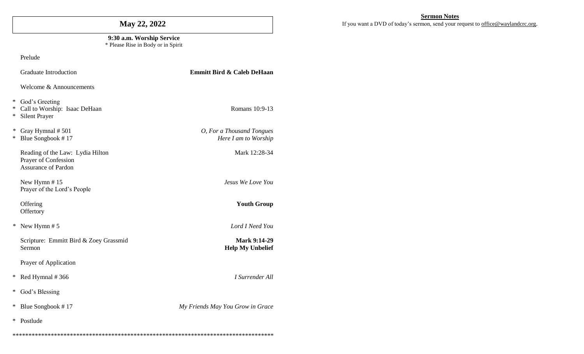# **May 22, 2022**

#### **9:30 a.m. Worship Service** \* Please Rise in Body or in Spirit

Prelude

|                  | <b>Graduate Introduction</b>                                                           | <b>Emmitt Bird &amp; Caleb DeHaan</b>             |  |  |  |
|------------------|----------------------------------------------------------------------------------------|---------------------------------------------------|--|--|--|
|                  | Welcome & Announcements                                                                |                                                   |  |  |  |
| ∗<br>$\ast$<br>∗ | God's Greeting<br>Call to Worship: Isaac DeHaan<br>Silent Prayer                       | Romans 10:9-13                                    |  |  |  |
| $\ast$<br>*      | Gray Hymnal #501<br>Blue Songbook #17                                                  | O, For a Thousand Tongues<br>Here I am to Worship |  |  |  |
|                  | Reading of the Law: Lydia Hilton<br>Prayer of Confession<br><b>Assurance of Pardon</b> | Mark 12:28-34                                     |  |  |  |
|                  | New Hymn #15<br>Prayer of the Lord's People                                            | Jesus We Love You                                 |  |  |  |
|                  | Offering<br>Offertory                                                                  | <b>Youth Group</b>                                |  |  |  |
| $\ast$           | New Hymn #5                                                                            | Lord I Need You                                   |  |  |  |
|                  | Scripture: Emmitt Bird & Zoey Grassmid<br>Sermon                                       | <b>Mark 9:14-29</b><br><b>Help My Unbelief</b>    |  |  |  |
|                  | Prayer of Application                                                                  |                                                   |  |  |  |
| ∗                | Red Hymnal #366                                                                        | I Surrender All                                   |  |  |  |
| ∗                | God's Blessing                                                                         |                                                   |  |  |  |
| ∗                | Blue Songbook #17                                                                      | My Friends May You Grow in Grace                  |  |  |  |
| $\ast$           | Postlude                                                                               |                                                   |  |  |  |
|                  |                                                                                        |                                                   |  |  |  |

**Sermon Notes**

If you want a DVD of today's sermon, send your request to [office@waylandcrc.org](mailto:office@waylandcrc.org).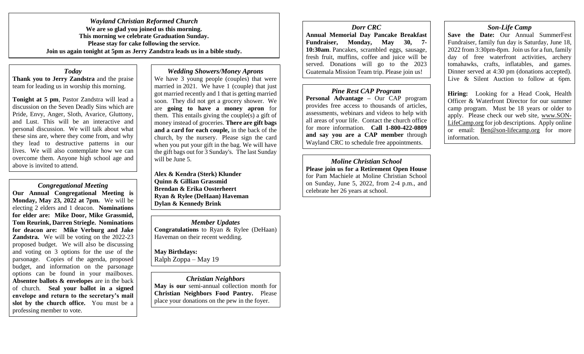*Wayland Christian Reformed Church* **We are so glad you joined us this morning. This morning we celebrate Graduation Sunday. Please stay for cake following the service. Join us again tonight at 5pm as Jerry Zandstra leads us in a bible study.** 

*Today* **Thank you to Jerry Zandstra** and the praise team for leading us in worship this morning.

**Tonight at 5 pm**, Pastor Zandstra will lead a discussion on the Seven Deadly Sins which are Pride, Envy, Anger, Sloth, Avarice, Gluttony, and Lust. This will be an interactive and personal discussion. We will talk about what these sins are, where they come from, and why they lead to destructive patterns in our lives. We will also contemplate how we can overcome them. Anyone high school age and above is invited to attend.

*Congregational Meeting* **Our Annual Congregational Meeting is Monday, May 23, 2022 at 7pm.** We will be electing 2 elders and 1 deacon. **Nominations for elder are: Mike Door, Mike Grassmid, Tom Reurink, Darren Striegle. Nominations for deacon are: Mike Verburg and Jake Zandstra.** We will be voting on the 2022-23 proposed budget. We will also be discussing and voting on 3 options for the use of the parsonage. Copies of the agenda, proposed budget, and information on the parsonage options can be found in your mailboxes. **Absentee ballots & envelopes** are in the back of church. **Seal your ballot in a signed envelope and return to the secretary's mail slot by the church office.** You must be a professing member to vote.

## *Wedding Showers/Money Aprons*

We have 3 young people (couples) that were married in 2021. We have 1 (couple) that just got married recently and 1 that is getting married soon. They did not get a grocery shower. We are **going to have a money apron** for them. This entails giving the couple(s) a gift of money instead of groceries. **There are gift bags and a card for each couple,** in the back of the church, by the nursery. Please sign the card when you put your gift in the bag. We will have the gift bags out for 3 Sunday's. The last Sunday will be June 5.

**Alex & Kendra (Sterk) Klunder Quinn & Gillian Grassmid Brendan & Erika Oosterheert Ryan & Rylee (DeHaan) Haveman Dylan & Kennedy Brink**

*Member Updates* **Congratulations** to Ryan & Rylee (DeHaan) Haveman on their recent wedding.

**May Birthdays:**  Ralph Zoppa – May 19

*Christian Neighbors* **May is our** semi-annual collection month for **Christian Neighbors Food Pantry.** Please place your donations on the pew in the foyer.

*Dorr CRC* **Annual Memorial Day Pancake Breakfast Fundraiser, Monday, May 30, 7- 10:30am**. Pancakes, scrambled eggs, sausage, fresh fruit, muffins, coffee and juice will be

# *Pine Rest CAP Program*

served. Donations will go to the 2023 Guatemala Mission Team trip. Please join us!

**Personal Advantage –** Our CAP program provides free access to thousands of articles, assessments, webinars and videos to help with all areas of your life. Contact the church office for more information. **Call 1-800-422-0809 and say you are a CAP member** through Wayland CRC to schedule free appointments.

*Moline Christian School* **Please join us for a Retirement Open House** for Pam Machiele at Moline Christian School on Sunday, June 5, 2022, from 2-4 p.m., and celebrate her 26 years at school.

# *Son-Life Camp*

**Save the Date:** Our Annual SummerFest Fundraiser, family fun day is Saturday, June 18, 2022 from 3:30pm-8pm. Join us for a fun, family day of free waterfront activities, archery tomahawks, crafts, inflatables, and games. Dinner served at 4:30 pm (donations accepted). Live & Silent Auction to follow at 6pm.

**Hiring:** Looking for a Head Cook, Health Officer & Waterfront Director for our summer camp program. Must be 18 years or older to apply. Please check our web site, [www.SON-](http://www.son-lifecamp.org/)[LifeCamp.org](http://www.son-lifecamp.org/) for job descriptions. Apply online or email: [Ben@son-lifecamp.org](mailto:Ben@son-lifecamp.org) for more information.